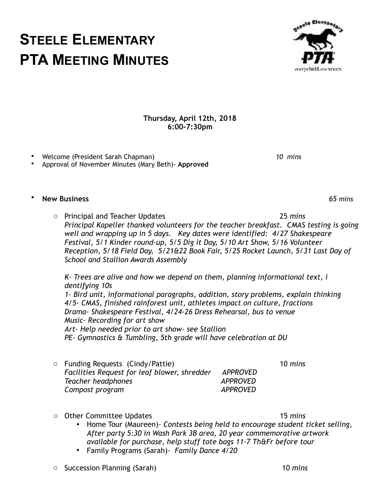## **STEELE ELEMENTARY PTA MEETING MINUTES**

**Thursday, April 12th, 2018 6:00-7:30pm** 

• Welcome (President Sarah Chapman) *10 mins*  • Approval of November Minutes (Mary Beth)- **Approved**

o Principal and Teacher Updates 25 *mins Principal Kapeller thanked volunteers for the teacher breakfast. CMAS testing is going well and wrapping up in 5 days. Key dates were identified: 4/27 Shakespeare Festival, 5/1 Kinder round-up, 5/5 Dig it Day, 5/10 Art Show, 5/16 Volunteer Reception, 5/18 Field Day, 5/21&22 Book Fair, 5/25 Rocket Launch, 5/31 Last Day of School and Stallion Awards Assembly* 

 *K- Trees are alive and how we depend on them, planning informational text, i dentifying 10s* 

 *1- Bird unit, informational paragraphs, addition, story problems, explain thinking 4/5- CMAS, finished rainforest unit, athletes impact on culture, fractions Drama- Shakespeare Festival, 4/24-26 Dress Rehearsal, bus to venue Music- Recording for art show Art- Help needed prior to art show- see Stallion PE- Gymnastics & Tumbling, 5th grade will have celebration at DU* 

- o Funding Requests (Cindy/Pattie) 10 *mins Facilities Request for leaf blower, shredder APPROVED Teacher headphones* APPROVED **Compost program APPROVED**
- o Other Committee Updates 15 *mins*  ▪ Home Tour (Maureen)- *Contests being held to encourage student ticket selling, After party 5:30 in Wash Park 3B area, 20 year commemorative artwork available for purchase, help stuff tote bags 11-7 Th&Fr before tour*
	- Family Programs (Sarah)- *Family Dance 4/20*

• **New Business** *65 mins*

everychild.ousynice.